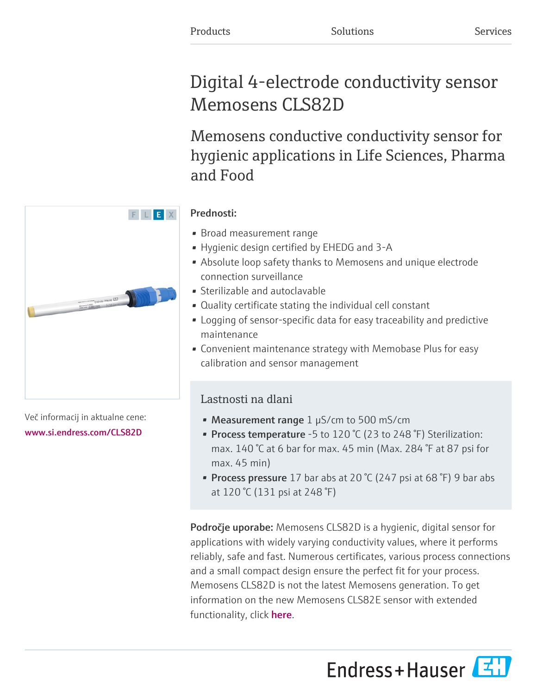# Digital 4-electrode conductivity sensor Memosens CLS82D

Memosens conductive conductivity sensor for hygienic applications in Life Sciences, Pharma and Food

# Prednosti:

- Broad measurement range
- Hygienic design certified by EHEDG and 3-A
- Absolute loop safety thanks to Memosens and unique electrode connection surveillance
- Sterilizable and autoclavable
- Quality certificate stating the individual cell constant
- Logging of sensor-specific data for easy traceability and predictive maintenance
- Convenient maintenance strategy with Memobase Plus for easy calibration and sensor management

# Lastnosti na dlani

- Measurement range  $1 \mu S/cm$  to 500 mS/cm
- Process temperature -5 to 120 °C (23 to 248 °F) Sterilization: max. 140 °C at 6 bar for max. 45 min (Max. 284 °F at 87 psi for max. 45 min)
- Process pressure 17 bar abs at 20  $\degree$  (247 psi at 68  $\degree$ F) 9 bar abs at 120 °C (131 psi at 248 °F)

**Področje uporabe:** Memosens CLS82D is a hygienic, digital sensor for applications with widely varying conductivity values, where it performs reliably, safe and fast. Numerous certificates, various process connections and a small compact design ensure the perfect fit for your process. Memosens CLS82D is not the latest Memosens generation. To get information on the new Memosens CLS82E sensor with extended functionality, click **[here](https://www.endress.com/CLS82E)**.





Več informacij in aktualne cene: [www.si.endress.com/CLS82D](https://www.si.endress.com/CLS82D)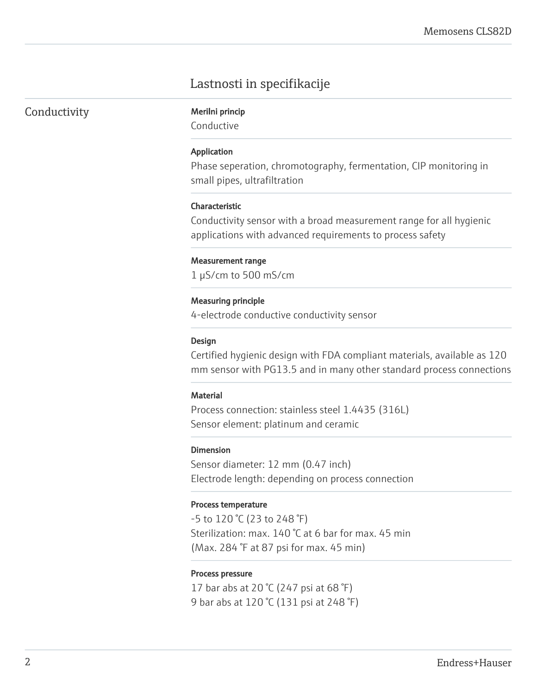# Lastnosti in specifikacije

| Conductivity |  |  |
|--------------|--|--|

Merilni princip

Conductive

#### Application

Phase seperation, chromotography, fermentation, CIP monitoring in small pipes, ultrafiltration

#### Characteristic

Conductivity sensor with a broad measurement range for all hygienic applications with advanced requirements to process safety

#### Measurement range

1 µS/cm to 500 mS/cm

#### Measuring principle

4-electrode conductive conductivity sensor

#### Design

Certified hygienic design with FDA compliant materials, available as 120 mm sensor with PG13.5 and in many other standard process connections

#### **Material**

Process connection: stainless steel 1.4435 (316L) Sensor element: platinum and ceramic

#### Dimension

Sensor diameter: 12 mm (0.47 inch) Electrode length: depending on process connection

#### Process temperature

-5 to 120 °C (23 to 248 °F) Sterilization: max. 140 °C at 6 bar for max. 45 min (Max. 284 °F at 87 psi for max. 45 min)

#### Process pressure

17 bar abs at 20 °C (247 psi at 68 °F) 9 bar abs at 120 °C (131 psi at 248 °F)